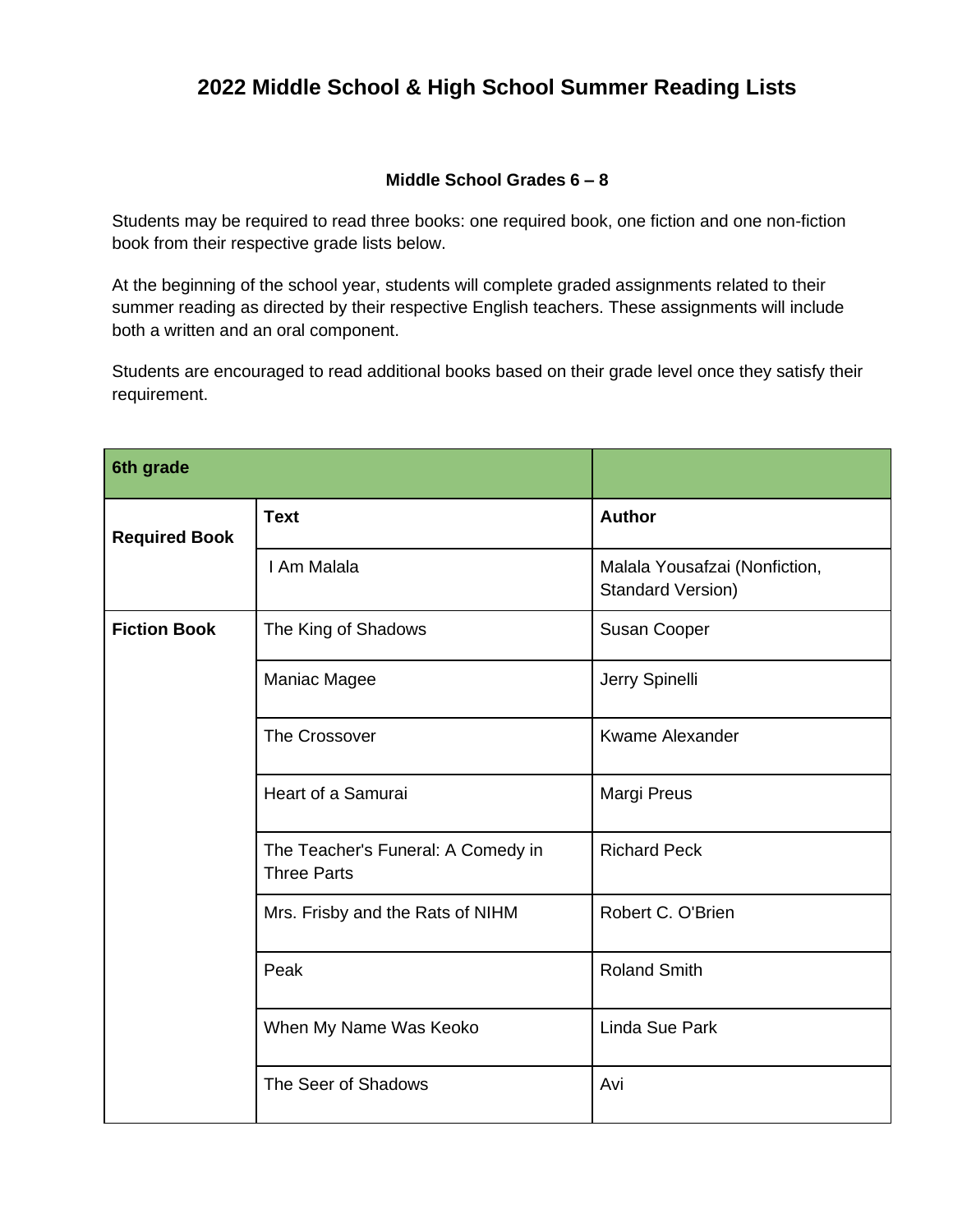## **2022 Middle School & High School Summer Reading Lists**

## **Middle School Grades 6 – 8**

Students may be required to read three books: one required book, one fiction and one non-fiction book from their respective grade lists below.

At the beginning of the school year, students will complete graded assignments related to their summer reading as directed by their respective English teachers. These assignments will include both a written and an oral component.

Students are encouraged to read additional books based on their grade level once they satisfy their requirement.

| 6th grade            |                                                          |                                                    |
|----------------------|----------------------------------------------------------|----------------------------------------------------|
| <b>Required Book</b> | <b>Text</b>                                              | <b>Author</b>                                      |
|                      | I Am Malala                                              | Malala Yousafzai (Nonfiction,<br>Standard Version) |
| <b>Fiction Book</b>  | The King of Shadows                                      | Susan Cooper                                       |
|                      | Maniac Magee                                             | Jerry Spinelli                                     |
|                      | The Crossover                                            | <b>Kwame Alexander</b>                             |
|                      | Heart of a Samurai                                       | Margi Preus                                        |
|                      | The Teacher's Funeral: A Comedy in<br><b>Three Parts</b> | <b>Richard Peck</b>                                |
|                      | Mrs. Frisby and the Rats of NIHM                         | Robert C. O'Brien                                  |
|                      | Peak                                                     | <b>Roland Smith</b>                                |
|                      | When My Name Was Keoko                                   | <b>Linda Sue Park</b>                              |
|                      | The Seer of Shadows                                      | Avi                                                |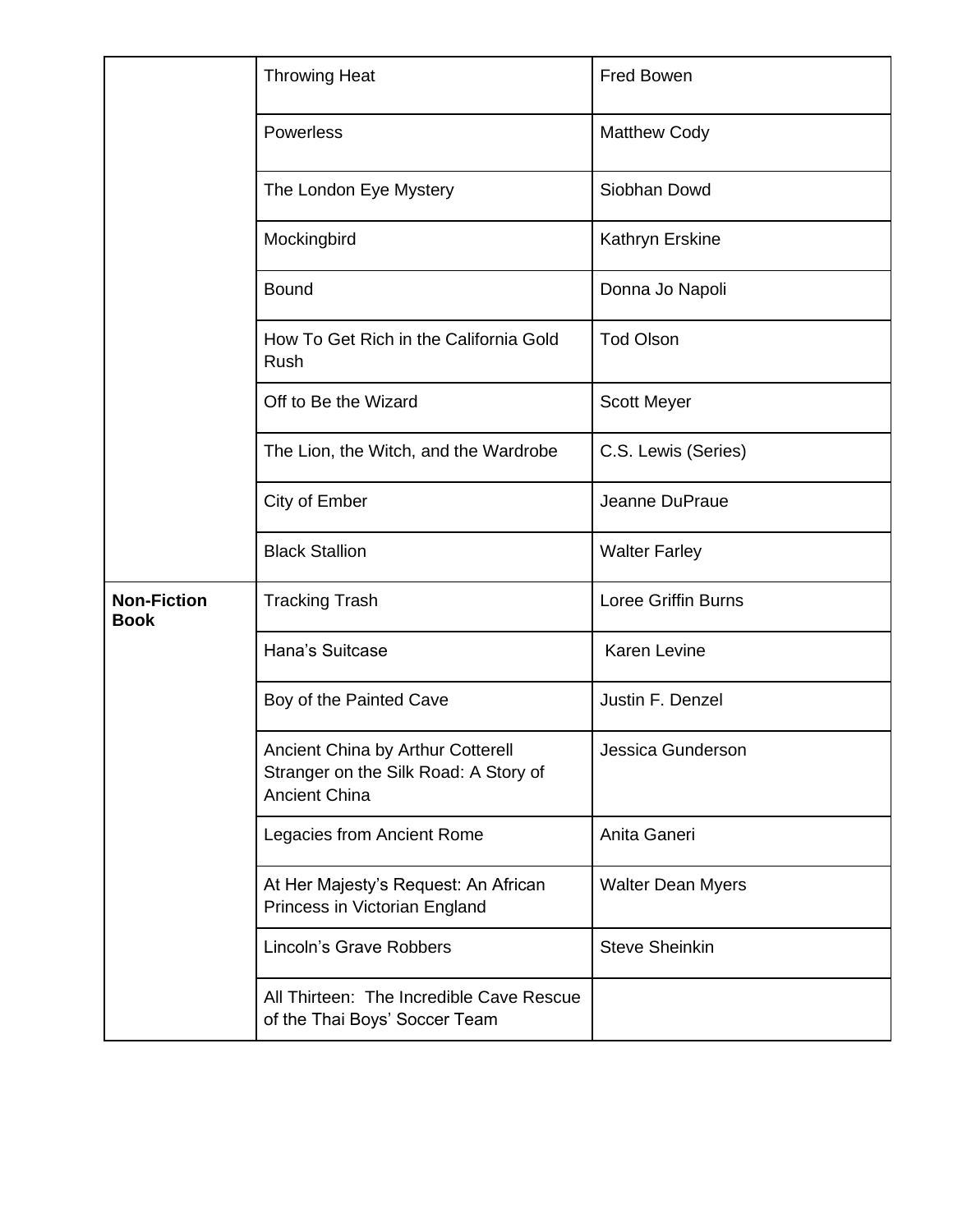|                                   | <b>Throwing Heat</b>                                                                               | Fred Bowen                 |
|-----------------------------------|----------------------------------------------------------------------------------------------------|----------------------------|
|                                   | Powerless                                                                                          | <b>Matthew Cody</b>        |
|                                   | The London Eye Mystery                                                                             | Siobhan Dowd               |
|                                   | Mockingbird                                                                                        | Kathryn Erskine            |
|                                   | <b>Bound</b>                                                                                       | Donna Jo Napoli            |
|                                   | How To Get Rich in the California Gold<br>Rush                                                     | <b>Tod Olson</b>           |
|                                   | Off to Be the Wizard                                                                               | <b>Scott Meyer</b>         |
|                                   | The Lion, the Witch, and the Wardrobe                                                              | C.S. Lewis (Series)        |
|                                   | City of Ember                                                                                      | Jeanne DuPraue             |
|                                   | <b>Black Stallion</b>                                                                              | <b>Walter Farley</b>       |
| <b>Non-Fiction</b><br><b>Book</b> | <b>Tracking Trash</b>                                                                              | <b>Loree Griffin Burns</b> |
|                                   | Hana's Suitcase                                                                                    | <b>Karen Levine</b>        |
|                                   | Boy of the Painted Cave                                                                            | Justin F. Denzel           |
|                                   | Ancient China by Arthur Cotterell<br>Stranger on the Silk Road: A Story of<br><b>Ancient China</b> | Jessica Gunderson          |
|                                   | Legacies from Ancient Rome                                                                         | Anita Ganeri               |
|                                   | At Her Majesty's Request: An African<br>Princess in Victorian England                              | <b>Walter Dean Myers</b>   |
|                                   | Lincoln's Grave Robbers                                                                            | <b>Steve Sheinkin</b>      |
|                                   | All Thirteen: The Incredible Cave Rescue<br>of the Thai Boys' Soccer Team                          |                            |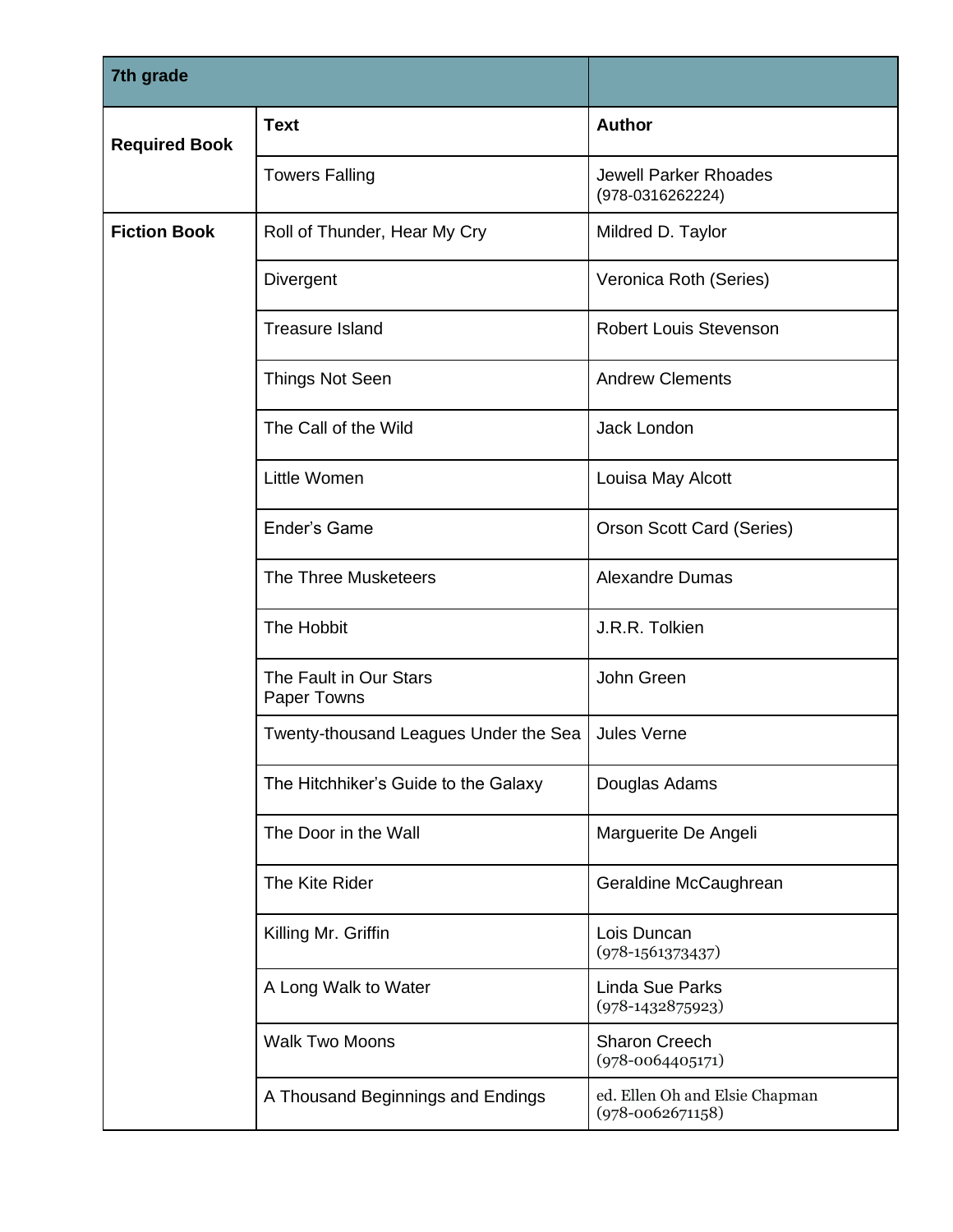| 7th grade            |                                       |                                                        |
|----------------------|---------------------------------------|--------------------------------------------------------|
| <b>Required Book</b> | <b>Text</b>                           | <b>Author</b>                                          |
|                      | <b>Towers Falling</b>                 | <b>Jewell Parker Rhoades</b><br>(978-0316262224)       |
| <b>Fiction Book</b>  | Roll of Thunder, Hear My Cry          | Mildred D. Taylor                                      |
|                      | Divergent                             | Veronica Roth (Series)                                 |
|                      | <b>Treasure Island</b>                | <b>Robert Louis Stevenson</b>                          |
|                      | <b>Things Not Seen</b>                | <b>Andrew Clements</b>                                 |
|                      | The Call of the Wild                  | Jack London                                            |
|                      | Little Women                          | Louisa May Alcott                                      |
|                      | Ender's Game                          | <b>Orson Scott Card (Series)</b>                       |
|                      | <b>The Three Musketeers</b>           | <b>Alexandre Dumas</b>                                 |
|                      | The Hobbit                            | J.R.R. Tolkien                                         |
|                      | The Fault in Our Stars<br>Paper Towns | John Green                                             |
|                      | Twenty-thousand Leagues Under the Sea | Jules Verne                                            |
|                      | The Hitchhiker's Guide to the Galaxy  | Douglas Adams                                          |
|                      | The Door in the Wall                  | Marguerite De Angeli                                   |
|                      | The Kite Rider                        | Geraldine McCaughrean                                  |
|                      | Killing Mr. Griffin                   | Lois Duncan<br>$(978-1561373437)$                      |
|                      | A Long Walk to Water                  | <b>Linda Sue Parks</b><br>$(978-1432875923)$           |
|                      | <b>Walk Two Moons</b>                 | <b>Sharon Creech</b><br>$(978 - 0064405171)$           |
|                      | A Thousand Beginnings and Endings     | ed. Ellen Oh and Elsie Chapman<br>$(978 - 0062671158)$ |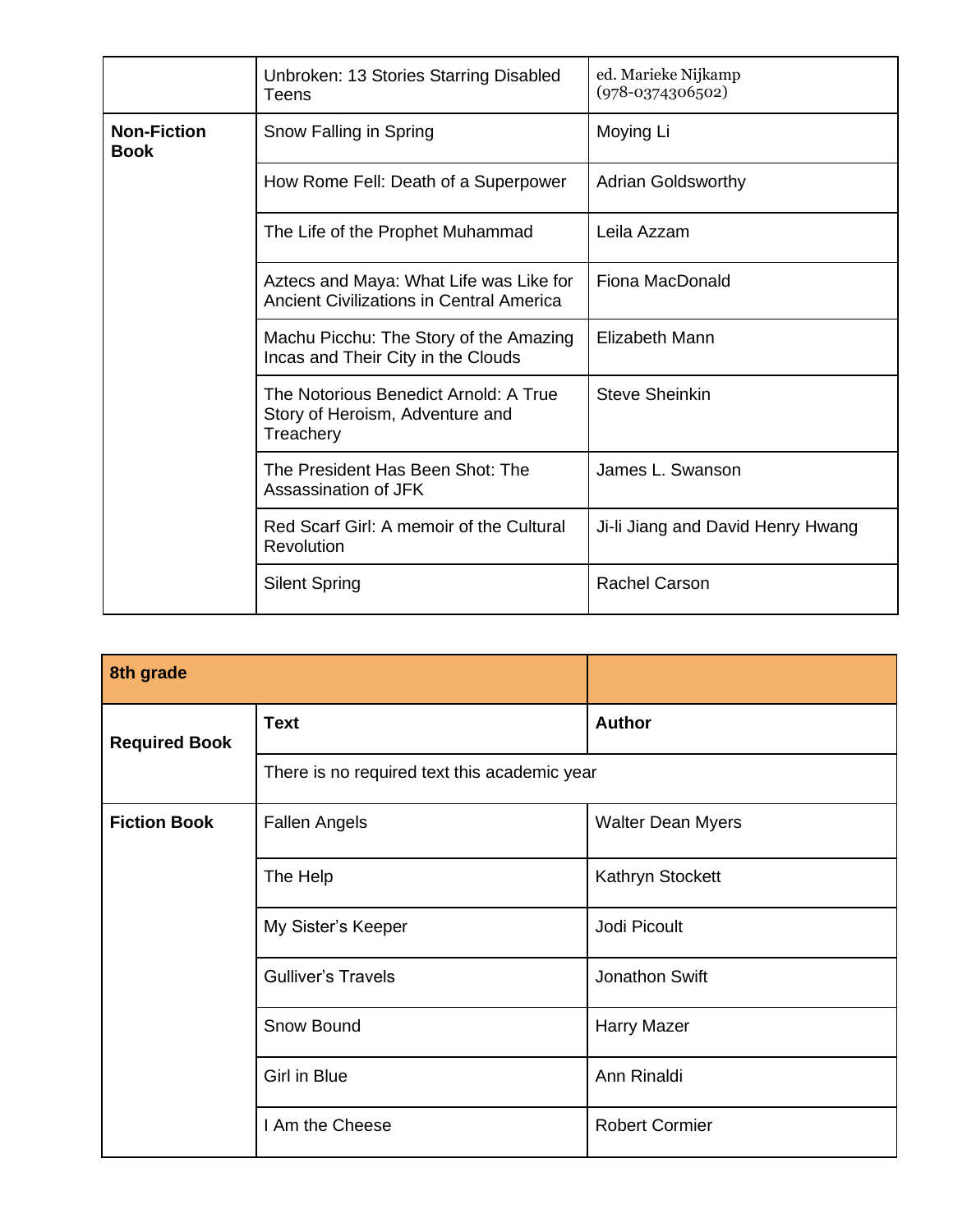|                                   | Unbroken: 13 Stories Starring Disabled<br>Teens                                       | ed. Marieke Nijkamp<br>$(978-0374306502)$ |
|-----------------------------------|---------------------------------------------------------------------------------------|-------------------------------------------|
| <b>Non-Fiction</b><br><b>Book</b> | Snow Falling in Spring                                                                | Moying Li                                 |
|                                   | How Rome Fell: Death of a Superpower                                                  | <b>Adrian Goldsworthy</b>                 |
|                                   | The Life of the Prophet Muhammad                                                      | Leila Azzam                               |
|                                   | Aztecs and Maya: What Life was Like for<br>Ancient Civilizations in Central America   | <b>Fiona MacDonald</b>                    |
|                                   | Machu Picchu: The Story of the Amazing<br>Incas and Their City in the Clouds          | <b>Elizabeth Mann</b>                     |
|                                   | The Notorious Benedict Arnold: A True<br>Story of Heroism, Adventure and<br>Treachery | <b>Steve Sheinkin</b>                     |
|                                   | The President Has Been Shot: The<br>Assassination of JFK                              | James L. Swanson                          |
|                                   | Red Scarf Girl: A memoir of the Cultural<br>Revolution                                | Ji-li Jiang and David Henry Hwang         |
|                                   | <b>Silent Spring</b>                                                                  | <b>Rachel Carson</b>                      |

| 8th grade            |                                              |                          |
|----------------------|----------------------------------------------|--------------------------|
| <b>Required Book</b> | <b>Text</b>                                  | <b>Author</b>            |
|                      | There is no required text this academic year |                          |
| <b>Fiction Book</b>  | <b>Fallen Angels</b>                         | <b>Walter Dean Myers</b> |
|                      | The Help                                     | Kathryn Stockett         |
|                      | My Sister's Keeper                           | Jodi Picoult             |
|                      | <b>Gulliver's Travels</b>                    | Jonathon Swift           |
|                      | Snow Bound                                   | <b>Harry Mazer</b>       |
|                      | Girl in Blue                                 | Ann Rinaldi              |
|                      | I Am the Cheese                              | <b>Robert Cormier</b>    |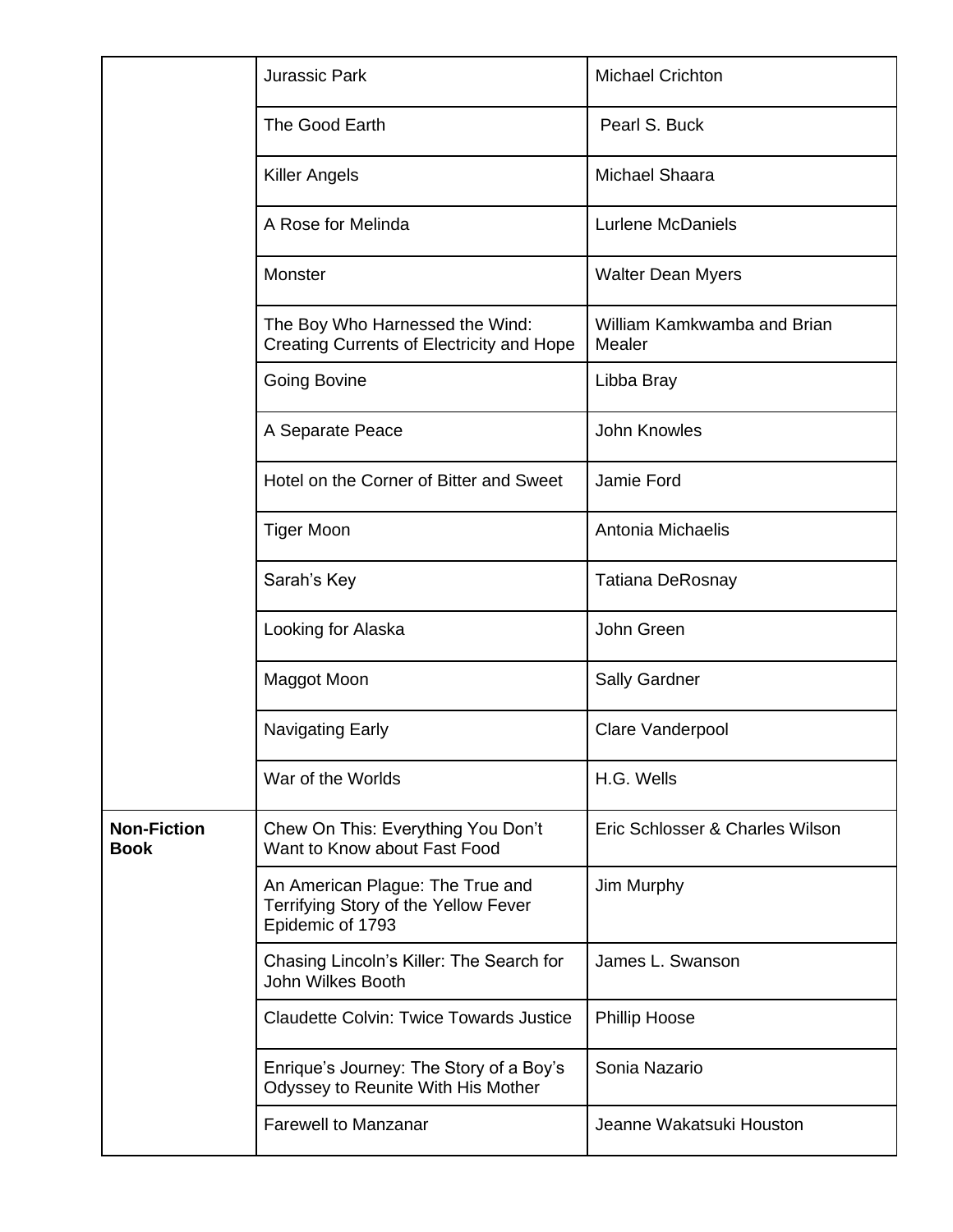|                                   | <b>Jurassic Park</b>                                                                         | <b>Michael Crichton</b>               |
|-----------------------------------|----------------------------------------------------------------------------------------------|---------------------------------------|
|                                   | The Good Earth                                                                               | Pearl S. Buck                         |
|                                   | <b>Killer Angels</b>                                                                         | Michael Shaara                        |
|                                   | A Rose for Melinda                                                                           | <b>Lurlene McDaniels</b>              |
|                                   | Monster                                                                                      | <b>Walter Dean Myers</b>              |
|                                   | The Boy Who Harnessed the Wind:<br>Creating Currents of Electricity and Hope                 | William Kamkwamba and Brian<br>Mealer |
|                                   | <b>Going Bovine</b>                                                                          | Libba Bray                            |
|                                   | A Separate Peace                                                                             | John Knowles                          |
|                                   | Hotel on the Corner of Bitter and Sweet                                                      | Jamie Ford                            |
|                                   | <b>Tiger Moon</b>                                                                            | Antonia Michaelis                     |
|                                   | Sarah's Key                                                                                  | <b>Tatiana DeRosnay</b>               |
|                                   | Looking for Alaska                                                                           | John Green                            |
|                                   | Maggot Moon                                                                                  | Sally Gardner                         |
|                                   | Navigating Early                                                                             | Clare Vanderpool                      |
|                                   | War of the Worlds                                                                            | H.G. Wells                            |
| <b>Non-Fiction</b><br><b>Book</b> | Chew On This: Everything You Don't<br>Want to Know about Fast Food                           | Eric Schlosser & Charles Wilson       |
|                                   | An American Plague: The True and<br>Terrifying Story of the Yellow Fever<br>Epidemic of 1793 | Jim Murphy                            |
|                                   | Chasing Lincoln's Killer: The Search for<br>John Wilkes Booth                                | James L. Swanson                      |
|                                   | <b>Claudette Colvin: Twice Towards Justice</b>                                               | <b>Phillip Hoose</b>                  |
|                                   | Enrique's Journey: The Story of a Boy's<br>Odyssey to Reunite With His Mother                | Sonia Nazario                         |
|                                   | <b>Farewell to Manzanar</b>                                                                  | Jeanne Wakatsuki Houston              |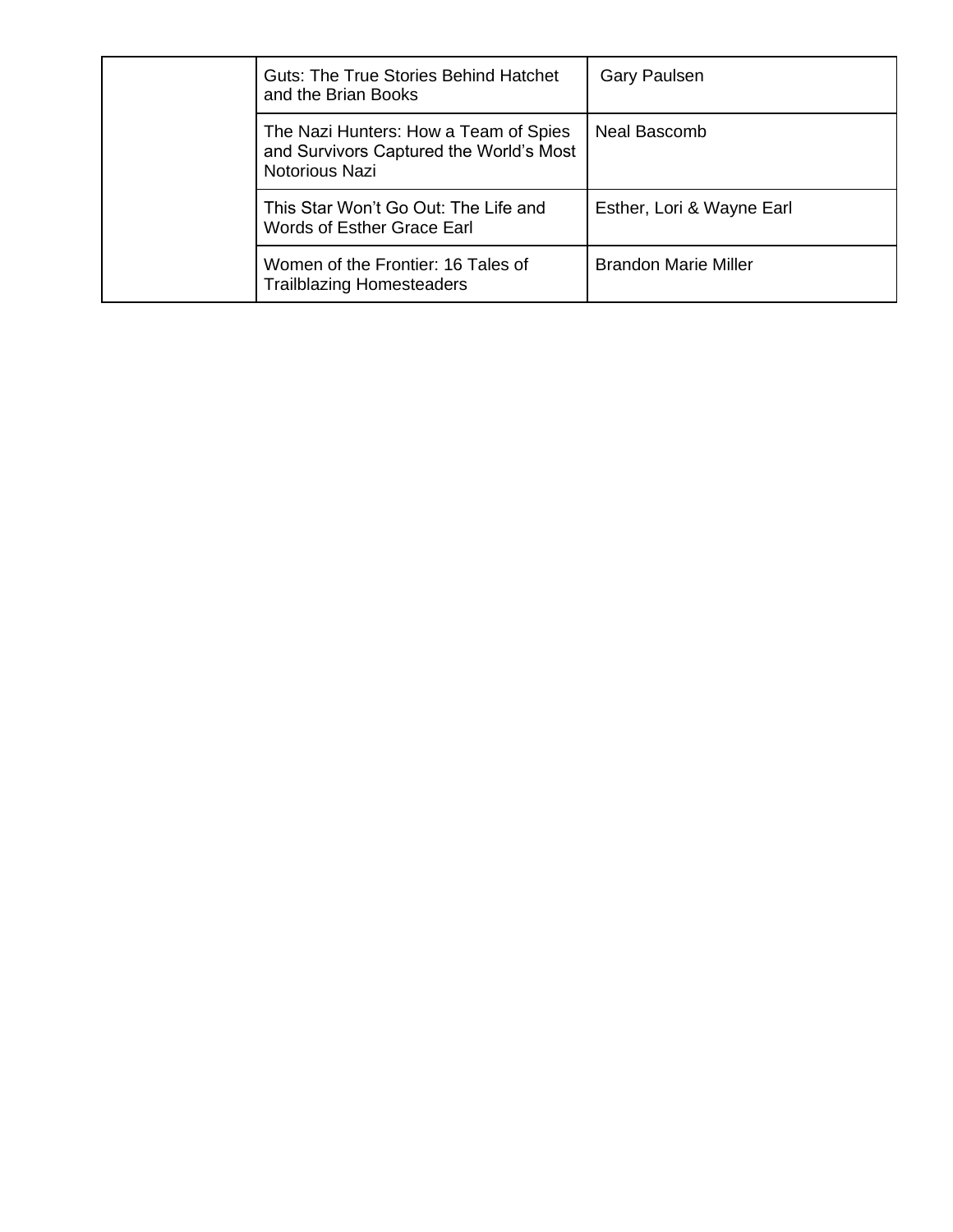| <b>Guts: The True Stories Behind Hatchet</b><br>and the Brian Books                                | <b>Gary Paulsen</b>         |
|----------------------------------------------------------------------------------------------------|-----------------------------|
| The Nazi Hunters: How a Team of Spies<br>and Survivors Captured the World's Most<br>Notorious Nazi | Neal Bascomb                |
| This Star Won't Go Out: The Life and<br>Words of Esther Grace Earl                                 | Esther, Lori & Wayne Earl   |
| Women of the Frontier: 16 Tales of<br><b>Trailblazing Homesteaders</b>                             | <b>Brandon Marie Miller</b> |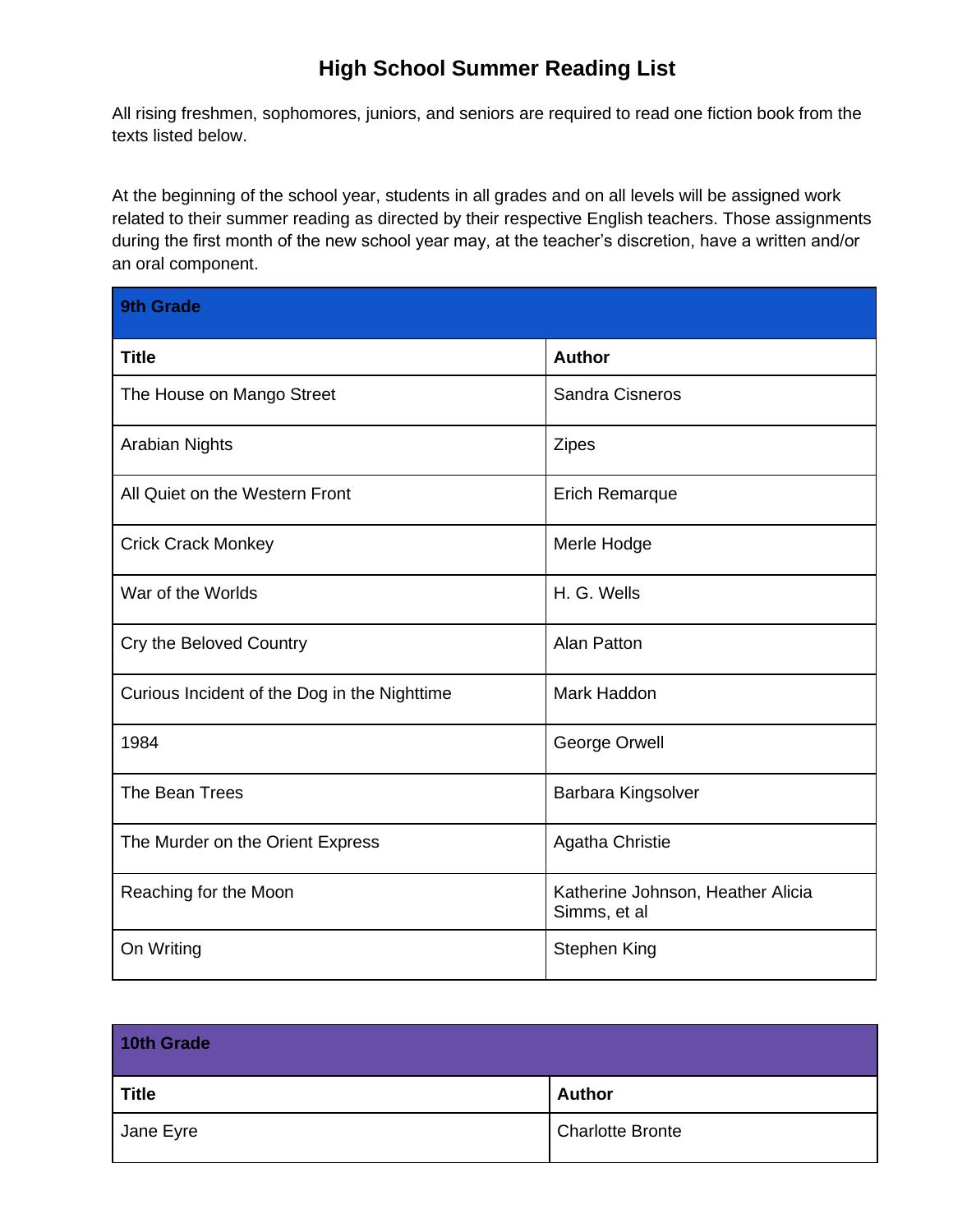## **High School Summer Reading List**

All rising freshmen, sophomores, juniors, and seniors are required to read one fiction book from the texts listed below.

At the beginning of the school year, students in all grades and on all levels will be assigned work related to their summer reading as directed by their respective English teachers. Those assignments during the first month of the new school year may, at the teacher's discretion, have a written and/or an oral component.

| <b>9th Grade</b>                             |                                                   |
|----------------------------------------------|---------------------------------------------------|
| <b>Title</b>                                 | <b>Author</b>                                     |
| The House on Mango Street                    | <b>Sandra Cisneros</b>                            |
| <b>Arabian Nights</b>                        | <b>Zipes</b>                                      |
| All Quiet on the Western Front               | <b>Erich Remarque</b>                             |
| <b>Crick Crack Monkey</b>                    | Merle Hodge                                       |
| War of the Worlds                            | H. G. Wells                                       |
| Cry the Beloved Country                      | <b>Alan Patton</b>                                |
| Curious Incident of the Dog in the Nighttime | Mark Haddon                                       |
| 1984                                         | George Orwell                                     |
| The Bean Trees                               | Barbara Kingsolver                                |
| The Murder on the Orient Express             | <b>Agatha Christie</b>                            |
| Reaching for the Moon                        | Katherine Johnson, Heather Alicia<br>Simms, et al |
| On Writing                                   | <b>Stephen King</b>                               |

| 10th Grade   |                         |
|--------------|-------------------------|
| <b>Title</b> | <b>Author</b>           |
| Jane Eyre    | <b>Charlotte Bronte</b> |